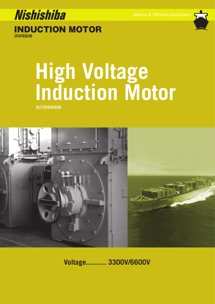

INDUCTION MOTOR

誘導電動機

# **High Voltage Induction Motor**

高圧誘導電動機



**Voltage.......... 3300V/6600V**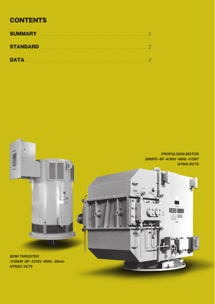# **CONTENTS**

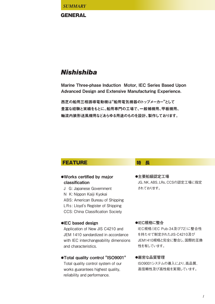*SUMMARY*

## **GENERAL**

# **Nishishiba**

Marine Three-phase Induction Motor, IEC Series Based Upon Advanced Design and Extensive Manufacturing Experience.

西芝の船用三相誘導電動機は**"**船用電気機器のトップメーカー**"**として 豊富な経験と実績をもとに、船用専門の工場で、一般補機用、甲板機用、 軸流内装形送風機用などあらゆる用途のものを設計、製作しております。

# **FEATURE # 特 長**

## **●**Works certified by major classification

- J G: Japanese Government
- N K: Nippon Kaiji Kyokai
- ABS: American Bureau of Shipping
- LRs: Lloyd's Register of Shipping
- CCS: China Classification Society

## **●**IEC based design

Application of New JIS C4210 and JEM 1410 sandardized in accordance with IEC interchangeability dimensions and characteristics.

## **●**Total quality control "ISO9001"

Total quality control system of our works guarantees highest quality, reliability and performance.

**●主要船級認定工場** JG、NK、ABS、LRs、CCSの認定工場に指定 されております。

#### **●IEC規格に整合**

IEC規格(IEC Pub-34及び72)に整合性 を持たせて制定されたJIS-C4210及び JEM1410規格と完全に整合し、国際的互換 性を有しています。

#### **●厳密な品質管理**

ISO9001システムの導入により、高品質、 高信頼性及び高性能を実現しています。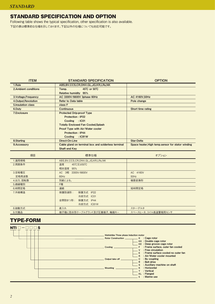## STANDARD SPECIFICATION AND OPTION

Following table shows the typical specification, other specification is also available. 下記の表は標準的な仕様を示しております。下記以外の仕様についても対応可能です。

| <b>ITEM</b>           | <b>STANDARD SPECIFICATION</b>                       | <b>OPTION</b>                                     |
|-----------------------|-----------------------------------------------------|---------------------------------------------------|
| 1.Rule                | ABS, BV, CCS, CR, DNV, GL, JG, KR, LRs, NK          |                                                   |
| 2. Ambient conditions | 45 $^{\circ}$ C or 50 $^{\circ}$ C<br>Temp.         |                                                   |
|                       | <b>Relative humidity 95%</b>                        |                                                   |
| 3. Voltage, Frequency | AC 3300V/6600V 3phase 60Hz                          | AC 4160V,50Hz                                     |
| 4. Output, Revolution | <b>Refer to Data table</b>                          | Pole change                                       |
| 5. Insulation class   | class F                                             |                                                   |
| 6.Duty                | Continuous                                          | Short time rating                                 |
| 7.Enclosure           | <b>Protected Drip-proof Type</b>                    |                                                   |
|                       | <b>Protection: IP22</b>                             |                                                   |
|                       | Cooling : IC01                                      |                                                   |
|                       | <b>Totally Enclosed Fan Cooled, Splash</b>          |                                                   |
|                       | Proof Type with Air/Water cooler                    |                                                   |
|                       | <b>Protection: IP44</b>                             |                                                   |
|                       | Cooling : IC81W                                     |                                                   |
| 8. Starting           | Direct-On-Line                                      | <b>Star-Delta</b>                                 |
| 9.Accessory           | Cable gland on terminal box and solderless terminal | Space heater, High temp.sensor for stator winding |
|                       | Shaft end Key                                       |                                                   |
|                       |                                                     |                                                   |
| 項目                    | 標準仕様                                                | オプション                                             |
| 1.適用規格                | ABS, BV, CCS, CR, DNV, GL, JG, KR, LRs, NK          |                                                   |
| 2.周囲条件                | 温度<br>45℃又は50℃                                      |                                                   |
|                       | 相対湿度 95%                                            |                                                   |

|           | 相対湿度 95%                    |                     |
|-----------|-----------------------------|---------------------|
| 3.定格電圧    | AC 3相 3300V/6600V           | AC 4160V            |
| 定格周波数     | 60Hz                        | 50Hz                |
| 4.出力, 回転数 | 別紙による。                      | 極数変換形               |
| 5.絶縁種別    | F種                          |                     |
| 6.時間定格    | 連続                          | 短時間定格               |
| 7.外被構造    | 保護防滴形:<br>保護方式 IP22         |                     |
|           | 冷却方式 IC01                   |                     |
|           | 全閉防まつ形 :<br>保護方式 IP44       |                     |
|           | 冷却方式 IC81W                  |                     |
| 8.始動方式    | 直入れ                         | スター・デルタ             |
| 9.付属品     | 端子箱に防水形ケーブルグランド及び圧着端子, 軸端キー | スペースヒータ、コイル高温警報用センサ |

## TYPE-FORM

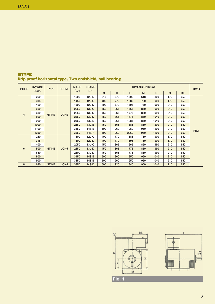| <b>POLE</b>    | <b>POWER</b> | <b>TYPE</b>  | <b>FORM</b>      | <b>MASS</b> | <b>FRAME</b> |              |     |      | DIMENSION (mm) |      |     |           | <b>DWG</b> |
|----------------|--------------|--------------|------------------|-------------|--------------|--------------|-----|------|----------------|------|-----|-----------|------------|
|                | (kW)         |              |                  | (kg)        | No.          | $\mathbf{C}$ | H   | L    | M              | P    | Q   | <b>KL</b> |            |
|                | 250          |              |                  | 1300        | $12S-D$      | 315          | 670 | 1600 | 618            | 800  | 170 | 650       |            |
|                | 315          |              |                  | 1450        | $12L-C$      | 400          | 770 | 1585 | 760            | 900  | 170 | 650       |            |
|                | 400          |              |                  | 1600        | $12L-D$      | 400          | 770 | 1695 | 760            | 990  | 210 | 650       |            |
|                | 500          |              |                  | 2050        | $13L-C$      | 450          | 865 | 1665 | 850            | 990  | 210 | 650       |            |
| $\overline{4}$ | 630          | <b>NTIKE</b> | VCK <sub>5</sub> | 2250        | $13L-D$      | 450          | 865 | 1775 | 850            | 990  | 210 | 650       |            |
|                | 800          |              |                  | 2350        | $13L-D$      | 450          | 865 | 1775 | 850            | 1040 | 210 | 650       |            |
|                | 900          |              |                  | 2550        | 13L-E        | 450          | 865 | 1885 | 850            | 1040 | 210 | 650       |            |
|                | 1000         |              |                  | 2650        | $13L-E$      | 450          | 865 | 1885 | 850            | 1200 | 210 | 650       |            |
|                | 1100         |              |                  | 3150        | 14S-E        | 500          | 960 | 1950 | 950            | 1200 | 210 | 650       |            |
|                | 1250         |              |                  | 3350        | <b>14S-F</b> | 500          | 960 | 2060 | 950            | 1200 | 210 | 650       | Fig.1      |
|                | 250          |              |                  | 1500        | $12L-C$      | 400          | 770 | 1585 | 760            | 900  | 170 | 650       |            |
|                | 315          |              |                  | 1600        | $12L-D$      | 400          | 770 | 1695 | 760            | 900  | 170 | 650       |            |
|                | 400          |              |                  | 2050        | $13L-C$      | 450          | 865 | 1665 | 850            | 990  | 210 | 650       |            |
| 6              | 500          | <b>NTIKE</b> | VCK <sub>5</sub> | 2350        | $13L-D$      | 450          | 865 | 1775 | 850            | 990  | 210 | 650       |            |
|                | 630          |              |                  | 2500        | $13L-D$      | 450          | 865 | 1775 | 850            | 990  | 210 | 650       |            |
|                | 800          |              |                  | 3150        | <b>14S-E</b> | 500          | 960 | 1950 | 950            | 1040 | 210 | 650       |            |
|                | 900          |              |                  | 3350        | 14S-E        | 500          | 960 | 1950 | 950            | 1040 | 210 | 650       |            |
| 8              | 630          | <b>NTIKE</b> | VCK <sub>5</sub> | 3350        | <b>14S-D</b> | 500          | 920 | 1840 | 950            | 1040 | 210 | 650       |            |

## ■TYPE Drip proof horizontal type, Two endshield, ball bearing

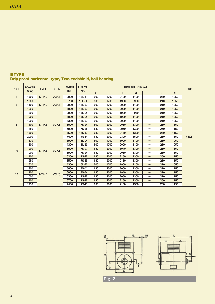| <b>POLE</b>    | <b>POWER</b> | <b>TYPE</b>  | <b>FORM</b>                      | <b>MASS</b> | <b>FRAME</b> |              |      |      | DIMENSION (mm) |                                 |                                 |           | <b>DWG</b> |   |      |       |     |      |      |      |                                 |     |      |  |
|----------------|--------------|--------------|----------------------------------|-------------|--------------|--------------|------|------|----------------|---------------------------------|---------------------------------|-----------|------------|---|------|-------|-----|------|------|------|---------------------------------|-----|------|--|
|                | (kW)         |              |                                  | (kg)        | No.          | $\mathbf{C}$ | H    | L    | M              | P                               | $\mathbf Q$                     | <b>KL</b> |            |   |      |       |     |      |      |      |                                 |     |      |  |
| $\overline{4}$ | 1600         | <b>NTIKE</b> | VCK <sub>5</sub>                 | 3900        | $15L-F$      | 500          | 1700 | 2100 | 1100           | $\hspace{0.1mm}-\hspace{0.1mm}$ | 250                             | 1050      |            |   |      |       |     |      |      |      |                                 |     |      |  |
|                | 1000         |              |                                  | 3700        | $15L - D$    | 500          | 1700 | 1900 | 950            | $\hspace{0.1mm}-\hspace{0.1mm}$ | 210                             | 1050      |            |   |      |       |     |      |      |      |                                 |     |      |  |
| 6              | 1100         | <b>NTIKE</b> | VCK <sub>5</sub>                 | 3900        | $15L-E$      | 500          | 1700 | 2000 | 1100           |                                 | 210                             | 1050      |            |   |      |       |     |      |      |      |                                 |     |      |  |
|                | 1250         |              |                                  | 4000        | $15L-E$      | 500          | 1700 | 2000 | 1100           | $\hspace{0.1mm}-\hspace{0.1mm}$ | 210                             | 1050      |            |   |      |       |     |      |      |      |                                 |     |      |  |
|                | 800          |              |                                  | 3900        | $15L-D$      | 500          | 1700 | 1900 | 950            | —                               | 210                             | 1050      |            |   |      |       |     |      |      |      |                                 |     |      |  |
|                | 900          |              |                                  | 4000        | $15L-D$      | 500          | 1700 | 1900 | 1100           | $\hspace{0.1mm}-\hspace{0.1mm}$ | 210                             | 1050      |            |   |      |       |     |      |      |      |                                 |     |      |  |
|                | 1000         |              |                                  | 4300        | $15L-E$      | 500          | 1700 | 2000 | 1100           | $\hspace{0.1mm}-\hspace{0.1mm}$ | 210                             | 1050      |            |   |      |       |     |      |      |      |                                 |     |      |  |
| 8              | 1100         | <b>NTIKE</b> | VCK <sub>5</sub>                 | 5600        | <b>17S-D</b> | 500          | 2000 | 2050 | 1300           | $\hspace{0.1mm}-\hspace{0.1mm}$ | 250                             | 1150      |            |   |      |       |     |      |      |      |                                 |     |      |  |
|                | 1250         |              |                                  | 5900        | 17S-D        | 630          | 2000 | 2050 | 1300           | $\hspace{0.1mm}-\hspace{0.1mm}$ | 250                             | 1150      |            |   |      |       |     |      |      |      |                                 |     |      |  |
|                | 1600         |              |                                  | 6500        | <b>17S-E</b> | 630          | 2000 | 2150 | 1300           | $\hspace{0.1mm}-\hspace{0.1mm}$ | 250                             | 1150      |            |   |      |       |     |      |      |      |                                 |     |      |  |
|                | 2000         |              |                                  | 7400        | 17S-F        | 630          | 2000 | 2300 | 1500           | $\hspace{0.1mm}-\hspace{0.1mm}$ | 250                             | 1150      | Fig.2      |   |      |       |     |      |      |      |                                 |     |      |  |
|                | 630          |              |                                  | 3900        | $15L - D$    | 500          | 1700 | 1900 | 1100           | —                               | 210                             | 1050      |            |   |      |       |     |      |      |      |                                 |     |      |  |
|                | 800          |              |                                  | 4300        | $15L-E$      | 500          | 1700 | 2000 | 1100           | $\hspace{0.1mm}-\hspace{0.1mm}$ | 210                             | 1050      |            |   |      |       |     |      |      |      |                                 |     |      |  |
| 10             | 900          | <b>NTIKE</b> | VCK <sub>5</sub>                 | 5600        | <b>17S-C</b> | 630          | 2000 | 1940 | 1300           | —                               | 210                             | 1150      |            |   |      |       |     |      |      |      |                                 |     |      |  |
|                | 1000         |              |                                  | 5900        | 17S-D        | 630          | 2000 | 2050 | 1300           |                                 | 210                             | 1150      |            |   |      |       |     |      |      |      |                                 |     |      |  |
|                | 1100         |              |                                  |             | 6200         | <b>17S-E</b> | 630  | 2000 | 2150           | 1300                            | $\hspace{0.1mm}-\hspace{0.1mm}$ | 250       | 1150       |   |      |       |     |      |      |      |                                 |     |      |  |
|                | 1250         |              |                                  | 6500        | 17S-E        | 630          | 2000 | 2150 | 1300           | $\hspace{0.1mm}-\hspace{0.1mm}$ | 250                             | 1150      |            |   |      |       |     |      |      |      |                                 |     |      |  |
|                | 630          |              |                                  | 4300        | $15L-E$      | 500          | 1700 | 1900 | 1100           | $\hspace{0.1mm}-\hspace{0.1mm}$ | 210                             | 1050      |            |   |      |       |     |      |      |      |                                 |     |      |  |
|                | 800          |              | VCK <sub>5</sub><br><b>NTIKE</b> |             |              |              |      | 5600 | 17S-C          | 630                             | 2000                            | 2000      | 1300       | - | 210  | 1150  |     |      |      |      |                                 |     |      |  |
| 12             | 900          |              |                                  | 6000        | <b>17S-D</b> | 630          | 2000 | 1940 | 1300           | —                               | 210                             | 1150      |            |   |      |       |     |      |      |      |                                 |     |      |  |
|                | 1000         |              |                                  |             |              |              |      |      |                |                                 |                                 |           |            |   | 6300 | 17S-E | 630 | 2000 | 2050 | 1300 | $\hspace{0.1mm}-\hspace{0.1mm}$ | 210 | 1150 |  |
|                | 1100         |              |                                  |             | 6700         | <b>17S-E</b> | 630  | 2000 | 2150           | 1300                            | $\hspace{0.1mm}-\hspace{0.1mm}$ | 250       | 1150       |   |      |       |     |      |      |      |                                 |     |      |  |
|                | 1250         |              |                                  | 7400        | 17S-F        | 630          | 2000 | 2150 | 1300           | $\hspace{0.1mm}-\hspace{0.1mm}$ | 250                             | 1150      |            |   |      |       |     |      |      |      |                                 |     |      |  |

## ■TYPE Drip proof horizontal type, Two endshield, ball bearing

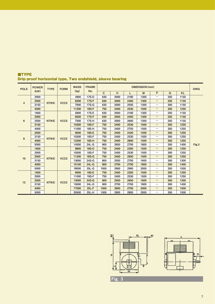| <b>POLE</b>    | <b>POWER</b> | <b>TYPE</b>  | <b>FORM</b>      | <b>MASS</b> | <b>FRAME</b>     |              |      |      | DIMENSION (mm) |                                 |     |           | <b>DWG</b> |  |       |       |     |      |      |      |                                 |     |      |  |
|----------------|--------------|--------------|------------------|-------------|------------------|--------------|------|------|----------------|---------------------------------|-----|-----------|------------|--|-------|-------|-----|------|------|------|---------------------------------|-----|------|--|
|                | (kW)         |              |                  | (kg)        | No.              | $\mathbf{C}$ | H    | L    | M              | P                               | Q   | <b>KL</b> |            |  |       |       |     |      |      |      |                                 |     |      |  |
|                | 2000         |              |                  | 4900        | 17S-D            | 630          | 2000 | 2180 | 1300           | —                               | 250 | 1150      |            |  |       |       |     |      |      |      |                                 |     |      |  |
| $\overline{4}$ | 2500         | <b>NTIKE</b> | VCC <sub>5</sub> | 6200        | <b>17S-F</b>     | 630          | 2000 | 2400 | 1300           | —                               | 250 | 1150      |            |  |       |       |     |      |      |      |                                 |     |      |  |
|                | 3150         |              |                  | 7000        | 17S-G            | 630          | 2000 | 2550 | 1300           | $\hspace{0.05cm}$               | 300 | 1150      |            |  |       |       |     |      |      |      |                                 |     |      |  |
|                | 4000         |              |                  | 11200       | <b>18S-F</b>     | 750          | 2400 | 2530 | 1500           | —                               | 350 | 1250      |            |  |       |       |     |      |      |      |                                 |     |      |  |
|                | 1600         |              |                  | 5900        | 17S-E            | 630          | 2000 | 2180 | 1300           | $\hspace{0.1mm}-\hspace{0.1mm}$ | 250 | 1150      |            |  |       |       |     |      |      |      |                                 |     |      |  |
|                | 2000         |              |                  | 6500        | <b>17S-F</b>     | 630          | 2000 | 2450 | 1300           | $\hspace{0.1mm}-\hspace{0.1mm}$ | 250 | 1150      |            |  |       |       |     |      |      |      |                                 |     |      |  |
| 6              | 2500         | <b>NTIKE</b> | VCC <sub>5</sub> | 7500        | <b>17S-H</b>     | 630          | 2000 | 2600 | 1300           |                                 | 250 | 1150      |            |  |       |       |     |      |      |      |                                 |     |      |  |
|                | 3150         |              |                  | 10300       | <b>18S-F</b>     | 750          | 2400 | 2530 | 1500           | —                               | 350 | 1250      |            |  |       |       |     |      |      |      |                                 |     |      |  |
|                | 4000         |              |                  | 11000       | <b>18S-H</b>     | 750          | 2400 | 2750 | 1500           | $\hspace{0.05cm}$               | 350 | 1250      |            |  |       |       |     |      |      |      |                                 |     |      |  |
|                | 2500         |              |                  | 9000        | <b>18S-E</b>     | 750          | 2400 | 2420 | 1500           | -                               | 300 | 1250      |            |  |       |       |     |      |      |      |                                 |     |      |  |
| 8              | 3150         | <b>NTIKE</b> | VCC <sub>5</sub> | 10300       | 18S-F            | 750          | 2400 | 2530 | 1500           | —                               | 300 | 1250      |            |  |       |       |     |      |      |      |                                 |     |      |  |
|                | 4000         |              |                  | 12200       | <b>18S-H</b>     | 750          | 2400 | 2800 | 1500           | $\hspace{0.1mm}-\hspace{0.1mm}$ | 300 | 1250      |            |  |       |       |     |      |      |      |                                 |     |      |  |
|                | 5000         |              |                  | 14500       | 24L-G            | 900          | 2650 | 2700 | 1800           | $\hspace{0.05cm}$               | 350 | 1400      | Fig.3      |  |       |       |     |      |      |      |                                 |     |      |  |
|                | 1600         |              |                  | 9800        | <b>18S-D</b>     | 750          | 2400 | 2300 | 1500           | —                               | 300 | 1250      |            |  |       |       |     |      |      |      |                                 |     |      |  |
|                | 2000         |              |                  | 10500       | <b>18S-F</b>     | 750          | 2400 | 2530 | 1500           | $\hspace{0.1mm}-\hspace{0.1mm}$ | 300 | 1250      |            |  |       |       |     |      |      |      |                                 |     |      |  |
| 10             | 2500         | <b>NTIKE</b> | VCC <sub>5</sub> | 11200       | <b>18S-G</b>     | 750          | 2400 | 2650 | 1500           | —                               | 300 | 1250      |            |  |       |       |     |      |      |      |                                 |     |      |  |
|                | 3150         |              |                  | 13000       | 24S-G            | 800          | 2550 | 2700 | 1600           | $\hspace{0.1mm}-\hspace{0.1mm}$ | 300 | 1300      |            |  |       |       |     |      |      |      |                                 |     |      |  |
|                | 4000         |              |                  | 15100       | $24L-G$          | 900          | 2700 | 2700 | 1800           | $\qquad \qquad -$               | 300 | 1400      |            |  |       |       |     |      |      |      |                                 |     |      |  |
|                | 5000         |              |                  | 18000       | $25L-G$          | 1000         | 2900 | 2900 | 2000           | $\hspace{0.05cm}$               | 350 | 1500      |            |  |       |       |     |      |      |      |                                 |     |      |  |
|                | 1600         |              |                  | 9000        | <b>18S-E</b>     | 750          | 2400 | 2300 | 1500           | $\qquad \qquad -$               | 300 | 1250      |            |  |       |       |     |      |      |      |                                 |     |      |  |
|                | 2000         |              |                  | 11000       | <b>18S-F</b>     | 750          | 2400 | 2530 | 1500           |                                 | 300 | 1250      |            |  |       |       |     |      |      |      |                                 |     |      |  |
| 12             | 2500         |              |                  |             | VCC <sub>5</sub> |              |      |      |                |                                 |     |           |            |  | 13000 | 24S-G | 800 | 2550 | 2650 | 1600 | $\hspace{0.1mm}-\hspace{0.1mm}$ | 300 | 1300 |  |
|                | 3150         |              | <b>NTIKE</b>     |             |                  |              |      |      |                |                                 |     |           |            |  | 15000 | 24L-G | 900 | 2700 | 2700 | 1800 | $\hspace{0.1mm}-\hspace{0.1mm}$ | 300 | 1400 |  |
|                | 4000         |              |                  | 17500       | $25L-F$          | 1000         | 2900 | 2700 | 2000           | $\qquad \qquad -$               | 350 | 1500      |            |  |       |       |     |      |      |      |                                 |     |      |  |
|                | 5000         |              |                  | 20500       | 25L-H            | 1000         | 2900 | 2800 | 2000           |                                 | 350 | 1500      |            |  |       |       |     |      |      |      |                                 |     |      |  |

## ■TYPE Drip proof horizontal type, Two endshield, sleeve bearing



Fig. 3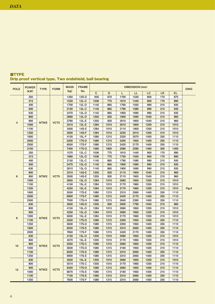| <b>POLE</b>    | <b>POWER</b> | <b>TYPE</b>  | <b>FORM</b>      | <b>MASS</b> | <b>FRAME</b> |              |      |      | <b>DIMENSION</b> (mm) |      |           |           | <b>DWG</b> |
|----------------|--------------|--------------|------------------|-------------|--------------|--------------|------|------|-----------------------|------|-----------|-----------|------------|
|                | (kW)         |              |                  | (kg)        | No.          | $\mathbf{C}$ | D    | Г    | LL                    | LC   | <b>LR</b> | <b>KL</b> |            |
|                | 250          |              |                  | 1350        | 12S-D        | 935          | 670  | 1700 | 1530                  | 800  | 170       | 875       |            |
|                | 315          |              |                  | 1520        | $12L-C$      | 1036         | 775  | 1610 | 1440                  | 900  | 170       | 890       |            |
|                | 400          |              |                  | 1700        | 12L-D        | 1145         | 865  | 1760 | 1550                  | 990  | 210       | 935       |            |
|                | 500          |              |                  | 2150        | 13L-C        | 1145         | 865  | 1790 | 1580                  | 990  | 210       | 935       |            |
|                | 630          |              |                  | 2470        | 13L-D        | 1145         | 865  | 1900 | 1690                  | 990  | 210       | 935       |            |
|                | 800          |              |                  | 2680        | 13L-D        | 1205         | 920  | 1900 | 1690                  | 1040 | 210       | 960       |            |
|                | 900          |              |                  | 2780        | 13L-E        | 1205         | 920  | 2010 | 1800                  | 1040 | 210       | 960       |            |
| $\overline{4}$ | 1000         | <b>NTIKE</b> | VCT <sub>5</sub> | 3310        | $13L-E$      | 1284         | 1010 | 2010 | 1800                  | 1200 | 210       | 1010      |            |
|                | 1100         |              |                  | 3400        | 14S-E        | 1284         | 1010 | 2110 | 1900                  | 1200 | 210       | 1010      |            |
|                | 1250         |              |                  | 3500        | <b>14S-F</b> | 1284         | 1010 | 2220 | 2010                  | 1200 | 210       | 1010      |            |
|                | 1600         |              |                  | 4150        | $15L-F$      | 1580         | 1215 | 2320 | 2070                  | 1400 | 250       | 1110      |            |
|                | 2000         |              |                  | 5200        | <b>17S-D</b> | 1580         | 1215 | 2205 | 1955                  | 1400 | 250       | 1110      |            |
|                | 2500         |              |                  | 6550        | 17S-F        | 1580         | 1215 | 2420 | 2170                  | 1400 | 250       | 1110      |            |
|                | 3150         |              |                  | 7400        | 17S-G        | 1580         | 1800 | 2580 | 2280                  | 1460 | 300       | 1400      |            |
|                | 250          |              |                  | 1570        | $12L-C$      | 1036         | 775  | 1610 | 1440                  | 900  | 170       | 890       |            |
|                | 315          |              |                  | 1680        | $12L-D$      | 1036         | 775  | 1720 | 1550                  | 900  | 170       | 890       |            |
|                | 400          |              |                  | 2150        | 13L-C        | 1145         | 865  | 1790 | 1580                  | 990  | 210       | 935       |            |
|                | 500          |              |                  | 2470        | 13L-D        | 1145         | 865  | 1900 | 1690                  | 990  | 210       | 935       |            |
|                | 630          |              |                  | 2610        | 13L-D        | 1145         | 865  | 1900 | 1690                  | 990  | 210       | 935       |            |
|                | 800          |              |                  | 3310        | <b>14S-E</b> | 1205         | 920  | 2110 | 1900                  | 1040 | 210       | 960       |            |
| 6              | 900          | <b>NTIKE</b> | VCT <sub>5</sub> | 3500        | 14S-E        | 1205         | 920  | 2110 | 1900                  | 1040 | 210       | 960       |            |
|                | 1000         |              |                  | 3950        | <b>15L-D</b> | 1284         | 1010 | 2060 | 1850                  | 1200 | 210       | 1010      |            |
|                | 1100         |              |                  | 4150        | 15L-E        | 1284         | 1010 | 2170 | 1960                  | 1200 | 210       | 1010      |            |
|                | 1250         |              |                  | 4250        | $15L-E$      | 1284         | 1010 | 2170 | 1960                  | 1200 | 210       | 1010      | Fig.4      |
|                | 1600         |              |                  | 5550        | 17S-E        | 1580         | 1215 | 2310 | 2060                  | 1400 | 250       | 1110      |            |
|                | 2000         |              |                  | 6900        | <b>17S-F</b> | 1580         | 1215 | 2420 | 2170                  | 1400 | 250       | 1110      |            |
|                | 2500         |              |                  | 7930        | 17S-H        | 1580         | 1215 | 2640 | 2390                  | 1400 | 250       | 1110      |            |
|                | 630          |              |                  | 3500        | <b>14S-D</b> | 1205         | 920  | 2000 | 1790                  | 1040 | 210       | 960       |            |
|                | 800          |              |                  | 4150        | 15L-D        | 1284         | 1010 | 2060 | 1850                  | 1200 | 210       | 1010      |            |
|                | 900          |              |                  | 4250        | $15L-D$      | 1284         | 1010 | 2060 | 1850                  | 1200 | 210       | 1010      |            |
|                | 1000         |              |                  | 5000        | $15L-E$      | 1284         | 1010 | 2170 | 1960                  | 1200 | 210       | 1010      |            |
| 8              | 1100         | <b>NTIKE</b> | VCT <sub>5</sub> | 5550        | <b>17S-D</b> | 1580         | 1215 | 2200 | 1950                  | 1400 | 250       | 1110      |            |
|                | 1250         |              |                  | 5830        | 17S-D        | 1580         | 1215 | 2200 | 1950                  | 1400 | 250       | 1110      |            |
|                | 1600         |              |                  | 6550        | 17S-E        | 1580         | 1215 | 2310 | 2060                  | 1400 | 250       | 1110      |            |
|                | 2000         |              |                  | 7850        | 17S-F        | 1580         | 1215 | 2420 | 2170                  | 1400 | 250       | 1110      |            |
|                | 630          |              |                  | 4150        | <b>15L-D</b> | 1205         | 1010 | 2060 | 1850                  | 1200 | 210       | 1010      |            |
|                | 800          |              |                  | 4570        | $15L-E$      | 1205         | 1010 | 2170 | 1960                  | 1200 | 210       | 1010      |            |
|                | 900          |              |                  | 5550        | <b>17S-C</b> | 1580         | 1215 | 2060 |                       | 1400 | 210       | 1110      |            |
| 10             | 1000         | <b>NTIKE</b> | VCT5             | 5830        |              | 1580         |      |      | 1850                  |      |           |           |            |
|                |              |              |                  |             | 17S-D        |              | 1215 | 2160 | 1950                  | 1400 | 210       | 1110      |            |
|                | 1100         |              |                  | 6550        | 17S-E        | 1580         | 1215 | 2310 | 2060                  | 1400 | 250       | 1110      |            |
|                | 1250         |              |                  | 6900        | 17S-E        | 1580         | 1215 | 2310 | 2060                  | 1400 | 250       | 1110      |            |
|                | 630          |              |                  | 4550        | $15L-E$      | 1205         | 1010 | 2060 | 1850                  | 1200 | 210       | 1010      |            |
|                | 800          |              |                  | 5510        | 17S-C        | 1205         | 1010 | 2170 | 1960                  | 1200 | 210       | 1110      |            |
| 12             | 900          | <b>NTIKE</b> | VCT5             | 6350        | <b>17S-D</b> | 1580         | 1215 | 2060 | 1850                  | 1400 | 210       | 1110      |            |
|                | 1000         |              |                  | 6670        | 17S-E        | 1580         | 1215 | 2160 | 1950                  | 1400 | 210       | 1110      |            |
|                | 1100         |              |                  | 7100        | 17S-E        | 1580         | 1215 | 2310 | 2060                  | 1400 | 250       | 1110      |            |
|                | 1250         |              |                  | 7830        | 17S-F        | 1580         | 1215 | 2310 | 2060                  | 1400 | 250       | 1110      |            |

## ■TYPE Drip proof vertical type, Two endshield, ball bearing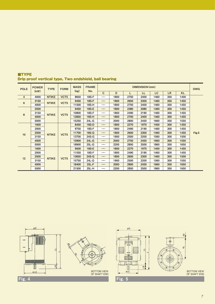| <b>POLE</b>    | <b>POWER</b> | <b>TYPE</b>  | <b>FORM</b>      | <b>MASS</b> | <b>FRAME</b> |                                 |      |      | DIMENSION (mm) |      |     |           | <b>DWG</b> |
|----------------|--------------|--------------|------------------|-------------|--------------|---------------------------------|------|------|----------------|------|-----|-----------|------------|
|                | (kW)         |              |                  | (kg)        | No.          | $\mathbf{C}$                    | D    | L    | LL             | LC   | LR. | <b>KL</b> |            |
| $\overline{4}$ | 4000         | <b>NTIKE</b> | VCT <sub>5</sub> | 8650        | 18S-F        |                                 | 1800 | 2750 | 2400           | 1460 | 350 | 1400      |            |
| 6              | 3150         | <b>NTIKE</b> | VCT5             | 9450        | <b>18S-F</b> | $\hspace{0.05cm}$               | 1800 | 2650 | 2300           | 1460 | 350 | 1450      |            |
|                | 4000         |              |                  | 11500       | 18S-H        |                                 | 1800 | 2750 | 2400           | 1460 | 350 | 1450      |            |
|                | 2500         |              |                  | 9450        | 18S-E        | $\hspace{0.1cm}$                | 1800 | 2380 | 2080           | 1460 | 300 | 1450      |            |
| 8              | 3150         | <b>NTIKE</b> | VCT5             | 10800       | 18S-F        |                                 | 1800 | 2490 | 2190           | 1460 | 300 | 1450      |            |
|                | 4000         |              |                  | 12850       | <b>18S-H</b> | $\hspace{0.1mm}-\hspace{0.1mm}$ | 1800 | 2700 | 2400           | 1460 | 300 | 1450      |            |
|                | 5000         |              |                  | 15250       | 24L-G        |                                 | 2000 | 2800 | 2450           | 1660 | 350 | 1550      |            |
|                | 1600         |              |                  | 8450        | <b>18S-D</b> |                                 | 1800 | 2270 | 1970           | 1400 | 300 | 1450      |            |
|                | 2000         |              |                  | 9750        | 18S-F        | $\hspace{0.05cm}$               | 1800 | 2490 | 2190           | 1460 | 300 | 1450      |            |
| 10             | 2500         | <b>NTIKE</b> | VCT <sub>5</sub> | 11700       | $18S-G$      | $\hspace{0.1cm}$                | 1800 | 2600 | 2300           | 1460 | 300 | 1450      | Fig.5      |
|                | 3150         |              |                  | 13700       | 24S-G        | $\hspace{0.05cm}$               | 1900 | 2500 | 2200           | 1560 | 300 | 1500      |            |
|                | 4000         |              |                  | 15900       | $24L-G$      | $\hspace{0.1cm}$                | 2000 | 2750 | 2450           | 1660 | 300 | 1550      |            |
|                | 5000         |              |                  | 18900       | 25L-G        | $\overbrace{\hspace{25mm}}^{}$  | 2200 | 2850 | 2500           | 1860 | 350 | 1650      |            |
|                | 1600         |              |                  | 9500        | 18S-E        | $\hspace{0.1cm}-\hspace{0.1cm}$ | 1800 | 2270 | 1970           | 1400 | 300 | 1450      |            |
|                | 2000         |              |                  | 11550       | 18S-F        |                                 | 1800 | 2490 | 2190           | 1460 | 300 | 1450      |            |
| 12             | 2500         | <b>NTIKE</b> | VCT <sub>5</sub> | 13650       | $24S-G$      |                                 | 1800 | 2600 | 2300           | 1460 | 300 | 1500      |            |
|                | 3150         |              |                  | 15750       | 24L-G        |                                 | 1900 | 2500 | 2200           | 1560 | 300 | 1550      |            |
|                | 4000         |              |                  | 18400       | $25L-F$      |                                 | 2000 | 2800 | 2450           | 1660 | 350 | 1650      |            |
|                | 5000         |              |                  | 21500       | 25L-H        |                                 | 2200 | 2850 | 2500           | 1860 | 350 | 1650      |            |

## ■TYPE Drip proof vertical type, Two endshield, ball bearing



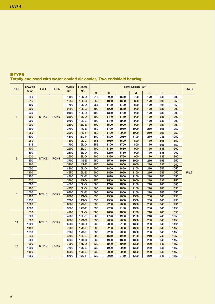| <b>POLE</b>    | <b>POWER</b> | <b>TYPE</b>                      | <b>FORM</b>      | <b>MASS</b>  | <b>FRAME</b> |              |      |      | <b>DIMENSION</b> (mm) |      |           |           | <b>DWG</b> |  |
|----------------|--------------|----------------------------------|------------------|--------------|--------------|--------------|------|------|-----------------------|------|-----------|-----------|------------|--|
|                | (kW)         |                                  |                  | (kg)         | No.          | $\mathbf{C}$ | H    | L    | M                     | Q    | <b>DB</b> | <b>KL</b> |            |  |
|                | 250          |                                  |                  | 1400         | 12S-D        | 315          | 980  | 1650 | 700                   | 170  | 545       | 800       |            |  |
|                | 315          |                                  |                  | 1550         | $12L-C$      | 355          | 1060 | 1600 | 800                   | 170  | 595       | 850       |            |  |
|                | 400          |                                  |                  | 1700         | 12L-D        | 355          | 1100 | 1700 | 800                   | 170  | 595       | 850       |            |  |
|                | 500          |                                  |                  | 2200         | $13L-C$      | 400          | 1270 | 1650 | 900                   | 170  | 635       | 900       |            |  |
|                | 630          |                                  |                  | 2400         | 13L-D        | 400          | 1360 | 1750 | 900                   | 170  | 635       | 900       |            |  |
| $\overline{4}$ | 800          | <b>NTIKE</b>                     | RCK <sub>5</sub> | 2500         | $13L-D$      | 400          | 1440 | 1750 | 900                   | 170  | 635       | 900       |            |  |
|                | 900          |                                  |                  | 2700         | 13L-E        | 400          | 1440 | 1900 | 900                   | 170  | 635       | 900       |            |  |
|                | 1000         |                                  |                  | 2800         | <b>13L-E</b> | 400          | 1520 | 1900 | 900                   | 170  | 635       | 900       |            |  |
|                | 1100         |                                  |                  | 3700         | 14S-E        | 450          | 1700 | 1950 | 1000                  | 210  | 695       | 950       |            |  |
|                | 1250         |                                  |                  | 3900         | $14S-F$      | 450          | 1700 | 2000 | 1000                  | 210  | 695       | 950       |            |  |
|                | 1600         |                                  |                  | 4500         | $15L-F$      | 500          | 1890 | 2050 | 1100                  | 210  | 745       | 1050      |            |  |
|                | 250          |                                  |                  | 1600         | $12L-C$      | 355          | 1060 | 1600 | 800                   | 170  | 595       | 850       |            |  |
|                | 315          |                                  |                  | 1700         | $12L-D$      | 355          | 1100 | 1700 | 800                   | 170  | 595       | 850       |            |  |
|                | 400          |                                  |                  | 2200         | $13L-C$      | 400          | 1150 | 1650 | 900                   | 170  | 635       | 900       |            |  |
|                | 500          |                                  |                  | 2500         | 13L-D        | 400          | 1270 | 1750 | 900                   | 170  | 635       | 900       |            |  |
| 6              | 630          | <b>NTIKE</b>                     | RCK <sub>5</sub> | 2600         | $13L-D$      | 400          | 1360 | 1750 | 900                   | 170  | 635       | 900       |            |  |
|                | 800          |                                  |                  | 3700         | 14S-E        | 450          | 1540 | 1950 | 1000                  | 210  | 695       | 950       |            |  |
|                | 900          |                                  |                  | 3900         | <b>14S-E</b> | 450          | 1620 | 1950 | 1000                  | 210  | 695       | 950       |            |  |
|                | 1000         |                                  |                  | 4300         | 15L-D        | 500          | 1800 | 1850 | 1100                  | 210  | 745       | 1050      |            |  |
|                | 1100         |                                  |                  | 4550         | $15L-E$      | 500          | 1890 | 1950 | 1100                  | 210  | 745       | 1050      | Fig.6      |  |
|                | 1250         |                                  |                  | 4800         | 15L-E        | 500          | 1890 | 1950 | 1100                  | 210  | 745       | 1050      |            |  |
|                | 630          |                                  |                  | 3700         | <b>14S-D</b> | 450          | 1540 | 1850 | 1000                  | 210  | 695       | 950       |            |  |
|                | 800          |                                  |                  | 4500         | $15L-D$      | 500          | 1720 | 1850 | 1100                  | 210  | 745       | 1050      |            |  |
|                | 900          |                                  |                  | 4750         | $15L-D$      | 500          | 1800 | 1850 | 1100                  | 210  | 745       | 1050      |            |  |
| 8              | 1000         | <b>NTIKE</b>                     | RCK <sub>5</sub> | 6300         | $15L-E$      | 500          | 1800 | 1950 | 1100                  | 210  | 745       | 1050      |            |  |
|                | 1100         |                                  |                  | 6600         | <b>17S-D</b> | 630          | 1900 | 2000 | 1300                  | 250  | 845       | 1150      |            |  |
|                | 1250         |                                  |                  | 7600         | 17S-D        | 630          | 1900 | 2000 | 1300                  | 250  | 845       | 1150      |            |  |
|                | 1600         |                                  |                  | 8600         | <b>17S-E</b> | 630          | 2200 | 2050 | 1300                  | 250  | 845       | 1150      |            |  |
|                | 2000         |                                  |                  | 9800         | <b>17S-F</b> | 630          | 2200 | 2150 | 1300                  | 250  | 845       | 1150      |            |  |
|                | 630          |                                  |                  | 4200         | $15L-D$      | 500          | 1640 | 1850 | 1100                  | 210  | 745       | 1050      |            |  |
|                | 800          |                                  |                  | 4700         | $15L-E$      | 500          | 1720 | 1950 | 1100                  | 210  | 745       | 1050      |            |  |
|                | 900          | <b>NTIKE</b>                     |                  | 6300         | <b>17S-C</b> | 630          | 2060 | 2000 | 1300                  | 250  | 845       | 1150      |            |  |
| 10             | 1000         |                                  | RCK <sub>5</sub> | 6600         | 17S-D        | 630          | 2060 | 2100 | 1300                  | 250  | 845       | 1150      |            |  |
|                | 1100         | <b>NTIKE</b><br>RCK <sub>5</sub> | 7600             | <b>17S-E</b> | 630          | 2200         | 2050 | 1300 | 250                   | 845  | 1150      |           |            |  |
|                | 1250         |                                  | 7900             | 17S-E        | 630          | 2200         | 2050 | 1300 | 250                   | 845  | 1150      |           |            |  |
|                | 630          |                                  |                  |              | 4700         | $15L-E$      | 500  | 1640 | 1950                  | 1100 | 210       | 745       | 1050       |  |
|                | 800          |                                  | 6300             | 17S-C        | 630          | 1980         | 1850 | 1300 | 250                   | 845  | 1150      |           |            |  |
|                | 900          |                                  |                  | 7300         | <b>17S-D</b> | 630          | 1980 | 1950 | 1300                  | 250  | 845       | 1150      |            |  |
| 12             | 1000         |                                  |                  | 7700         | 17S-E        | 630          | 1980 | 2050 | 1300                  | 250  | 845       | 1150      |            |  |
|                | 1100         |                                  |                  | 8000         | <b>17S-E</b> | 630          | 2060 | 2050 | 1300                  | 250  | 845       | 1150      |            |  |
|                | 1250         |                                  |                  | 8700         | 17S-F        | 630          | 2060 | 2150 | 1300                  | 250  | 845       | 1150      |            |  |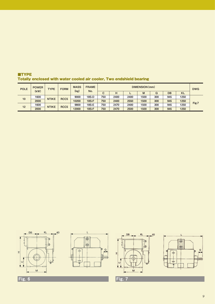| <b>POLE</b> | <b>POWER</b><br>(kW) | <b>TYPE</b>  | <b>FORM</b>      | <b>MASS</b><br>(kg) | <b>FRAME</b><br>No. |     |      |      | DIMENSION (mm) |     |     |           | <b>DWG</b> |
|-------------|----------------------|--------------|------------------|---------------------|---------------------|-----|------|------|----------------|-----|-----|-----------|------------|
|             |                      |              |                  |                     |                     | с   | н    |      | M              | Q   | DB  | <b>KL</b> |            |
| 10          | 1600                 | <b>NTIKE</b> | RCC <sub>5</sub> | 9000                | 18S-D               | 750 | 2400 | 2400 | 1500           | 300 | 945 | 1250      |            |
|             | 2000                 |              |                  | 10200               | <b>18S-F</b>        | 750 | 2400 | 2550 | 1500           | 300 | 945 | 1250      | Fig.7      |
| 12          | 1600                 |              | RCC <sub>5</sub> | 9800                | 18S-E               | 750 | 2470 | 2400 | 1500           | 300 | 945 | 1250      |            |
|             | 2000                 | <b>NTIKE</b> |                  | 12000               | <b>18S-F</b>        | 750 | 2470 | 2500 | 1500           | 300 | 945 | 1250      |            |

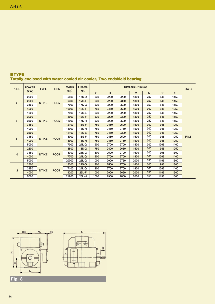| <b>POLE</b>    | <b>POWER</b> | <b>TYPE</b>  | <b>FORM</b>      | <b>MASS</b> | <b>FRAME</b> |              |                  |      | DIMENSION (mm) |                  |           |           | <b>DWG</b> |       |      |      |      |      |     |      |      |  |
|----------------|--------------|--------------|------------------|-------------|--------------|--------------|------------------|------|----------------|------------------|-----------|-----------|------------|-------|------|------|------|------|-----|------|------|--|
|                | (kW)         |              |                  | (kg)        | No.          | $\mathbf{C}$ | н                | L    | M              | $\mathbf Q$      | <b>DB</b> | <b>KL</b> |            |       |      |      |      |      |     |      |      |  |
|                | 2000         |              |                  | 5500        | 17S-D        | 630          | 2200             | 2200 | 1300           | 250              | 845       | 1150      |            |       |      |      |      |      |     |      |      |  |
|                | 2500         |              |                  | 6300        | $17S-F$      | 630          | 2200             | 2350 | 1300           | 250              | 845       | 1150      |            |       |      |      |      |      |     |      |      |  |
| $\overline{4}$ | 3150         | <b>NTIKE</b> | RCC <sub>5</sub> | 7900        | $17S-G$      | 630          | 2200             | 2500 | 1300           | 250              | 845       | 1150      |            |       |      |      |      |      |     |      |      |  |
|                | 4000         |              |                  | 10000       | <b>18S-F</b> | 750          | 2450             | 2600 | 1500           | 300              | 945       | 1250      |            |       |      |      |      |      |     |      |      |  |
|                | 1600         |              |                  | 7900        | 17S-E        | 630          | 2200             | 2200 | 1300           | 250              | 845       | 1150      |            |       |      |      |      |      |     |      |      |  |
|                | 2000         |              |                  | 8900        | $17S-F$      | 630          | 2200             | 2300 | 1300           | 250              | 845       | 1150      |            |       |      |      |      |      |     |      |      |  |
| 6              | 2500         | <b>NTIKE</b> | RCC <sub>5</sub> | 11000       | 17S-H        | 630          | 2200             | 2500 | 1300           | 250              | 845       | 1150      |            |       |      |      |      |      |     |      |      |  |
|                | 3150         |              |                  | 12100       | <b>18S-F</b> | 750          | 2450             | 2500 | 1500           | 300              | 945       | 1250      |            |       |      |      |      |      |     |      |      |  |
|                | 4000         |              |                  | 13000       | 18S-H        | 750          | 2450             | 2750 | 1500           | 300              | 945       | 1250      |            |       |      |      |      |      |     |      |      |  |
|                | 2500         |              |                  | 12100       | <b>18S-E</b> | 750          | 2450             | 2300 | 1500           | 300              | 945       | 1250      |            |       |      |      |      |      |     |      |      |  |
|                | 3150         |              |                  | 13000       | <b>18S-F</b> | 750          | 2450             | 2500 | 1500           | 300              | 945       | 1250      | Fig.8      |       |      |      |      |      |     |      |      |  |
| 8              | 4000         | <b>NTIKE</b> | RCC <sub>5</sub> | 13900       | $18S-H$      | 750          | 2450             | 2750 | 1500           | 300              | 945       | 1250      |            |       |      |      |      |      |     |      |      |  |
|                | 5000         |              |                  | 17000       | 24L-G        | 900          | 2700             | 2700 | 1800           | 300              | 1095      | 1400      |            |       |      |      |      |      |     |      |      |  |
|                | 2500         |              |                  | 13800       | <b>18S-G</b> | 750          | 2400             | 2650 | 1500           | 300              | 945       | 1250      |            |       |      |      |      |      |     |      |      |  |
|                | 3150         | <b>NTIKE</b> |                  |             |              |              | RCC <sub>5</sub> |      |                | 15300            | 24S-G     | 800       | 2500       | 2700  | 1600 | 300  | 995  | 1300 |     |      |      |  |
| 10             | 4000         |              |                  | 17700       | $24L-G$      | 900          | 2700             | 2700 | 1800           | 300              | 1095      | 1400      |            |       |      |      |      |      |     |      |      |  |
|                | 5000         |              |                  | 20000       | $25L-G$      | 1000         | 2900             | 2750 | 2000           | 350              | 1195      | 1500      |            |       |      |      |      |      |     |      |      |  |
|                | 2500         |              |                  | 15300       | 24S-G        | 800          | 2500             | 2700 | 1600           | 300              | 995       | 1300      |            |       |      |      |      |      |     |      |      |  |
| 12             | 3150         | <b>NTIKE</b> |                  |             |              |              |                  |      |                | RCC <sub>5</sub> |           |           | 17100      | 24L-G | 900  | 2700 | 2700 | 1800 | 300 | 1095 | 1400 |  |
|                | 4000         |              |                  | 19200       | $25L-F$      | 1000         | 2900             | 2650 | 2000           | 350              | 1195      | 1500      |            |       |      |      |      |      |     |      |      |  |
|                | 5000         |              |                  | 21800       | 25L-H        | 1000         | 2900             | 2800 | 2000           | 350              | 1195      | 1500      |            |       |      |      |      |      |     |      |      |  |

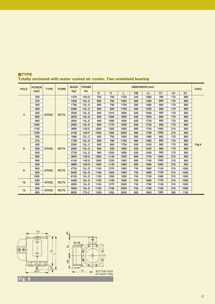| <b>POLE</b>             | <b>POWER</b> | <b>TYPE</b>  | <b>FORM</b>      | <b>MASS</b> | <b>FRAME</b> |      |      |      |           | DIMENSION (mm) |           |     |           | <b>DWG</b> |
|-------------------------|--------------|--------------|------------------|-------------|--------------|------|------|------|-----------|----------------|-----------|-----|-----------|------------|
|                         | (kW)         |              |                  | (kg)        | No.          | D    | H    | L    | <b>DB</b> | <b>LL</b>      | <b>LC</b> | LR  | <b>KL</b> |            |
|                         | 250          |              |                  | 1470        | 12S-D        | 700  | 700  | 1750 | 545       | 1580           | 780       | 170 | 800       |            |
|                         | 315          |              |                  | 1630        | $12L-C$      | 800  | 750  | 1650 | 595       | 1480           | 800       | 170 | 850       |            |
|                         | 400          |              |                  | 1790        | $12L-D$      | 800  | 790  | 1750 | 595       | 1580           | 800       | 170 | 850       |            |
|                         | 500          |              |                  | 2300        | $13L-C$      | 900  | 920  | 1700 | 635       | 1530           | 900       | 170 | 900       |            |
| $\overline{\mathbf{4}}$ | 630          | <b>NTIKE</b> | RCT <sub>5</sub> | 2500        | $13L-D$      | 900  | 1010 | 1800 | 635       | 1630           | 900       | 170 | 900       |            |
|                         | 800          |              |                  | 2650        | $13L-D$      | 900  | 1090 | 1800 | 635       | 1630           | 900       | 170 | 900       |            |
|                         | 900          |              |                  | 2850        | $13L-E$      | 900  | 1090 | 1900 | 635       | 1730           | 900       | 170 | 900       |            |
|                         | 1000         |              |                  | 2950        | $13L-E$      | 900  | 1170 | 1900 | 635       | 1730           | 900       | 170 | 900       |            |
|                         | 1100         |              |                  | 3890        | 14S-E        | 1000 | 1300 | 1950 | 695       | 1740           | 1000      | 210 | 950       |            |
|                         | 1250         |              |                  | 4100        | <b>14S-F</b> | 1000 | 1300 | 2000 | 695       | 1790           | 1000      | 210 | 950       |            |
|                         | 250          |              |                  | 1680        | $12L-C$      | 800  | 750  | 1650 | 595       | 1480           | 800       | 170 | 850       |            |
|                         | 315          |              |                  | 1790        | $12L-D$      | 800  | 790  | 1750 | 595       | 1580           | 800       | 170 | 850       |            |
|                         | 400          |              |                  | 2300        | $13L-C$      | 900  | 850  | 1700 | 635       | 1530           | 900       | 170 | 900       | Fig.9      |
| 6                       | 500          | <b>NTIKE</b> | RCT <sub>5</sub> | 2630        | $13L-D$      | 900  | 930  | 1800 | 635       | 1630           | 900       | 170 | 900       |            |
|                         | 630          |              |                  | 2730        | $13L-D$      | 900  | 1020 | 1800 | 635       | 1630           | 900       | 170 | 900       |            |
|                         | 800          |              |                  | 3900        | <b>14S-E</b> | 1000 | 1140 | 1950 | 695       | 1740           | 1000      | 210 | 950       |            |
|                         | 900          |              |                  | 4100        | 14S-E        | 1000 | 1220 | 1950 | 695       | 1740           | 1000      | 210 | 950       |            |
|                         | 630          |              |                  | 3890        | <b>14S-D</b> | 1000 | 1140 | 1900 | 695       | 1690           | 1000      | 210 | 950       |            |
| 8                       | 800          | <b>NTIKE</b> | RCT <sub>5</sub> | 4730        | $15L-D$      | 1100 | 1270 | 1900 | 745       | 1690           | 1150      | 210 | 1050      |            |
|                         | 900          |              |                  | 5000        | $15L-D$      | 1100 | 1350 | 1900 | 745       | 1690           | 1150      | 210 | 1050      |            |
|                         | 1000         |              |                  | 6100        | $15L-E$      | 1100 | 1350 | 1950 | 745       | 1740           | 1260      | 210 | 1050      |            |
| 10                      | 630          | <b>NTIKE</b> | RCT <sub>5</sub> | 4400        | $15L-D$      | 1100 | 1190 | 1900 | 745       | 1690           | 1150      | 210 | 1050      |            |
|                         | 800          |              |                  | 4950        | $15L-E$      | 1100 | 1270 | 2000 | 745       | 1790           | 1150      | 210 | 1050      |            |
|                         | 630          | <b>NTIKE</b> | RCT <sub>5</sub> | 4940        | $15L-E$      | 1100 | 1190 | 2000 | 745       | 1790           | 1150      | 210 | 1050      |            |
| 12                      | 800          |              |                  | 6600        | 17S-C        | 1300 | 1450 | 2050 | 845       | 1800           | 1360      | 250 | 1150      |            |

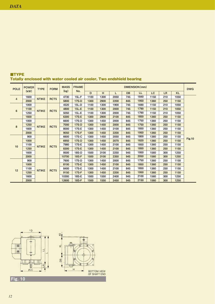| <b>POLE</b>    | <b>POWER</b><br>(kW) | <b>TYPE</b>  | <b>FORM</b>      | <b>MASS</b> | <b>FRAME</b><br>No. | DIMENSION (mm) |      |      |           |      |      |           |           | <b>DWG</b>    |
|----------------|----------------------|--------------|------------------|-------------|---------------------|----------------|------|------|-----------|------|------|-----------|-----------|---------------|
|                |                      |              |                  | (kg)        |                     | D              | H    | L    | <b>DB</b> | LL   | LC   | <b>LR</b> | <b>KL</b> |               |
| $\overline{4}$ | 1600                 | <b>NTIKE</b> | RCT <sub>5</sub> | 4730        | $15L-F$             | 1100           | 1300 | 2050 | 745       | 1840 | 1150 | 210       | 1050      |               |
|                | 2000                 |              |                  | 5800        | <b>17S-D</b>        | 1300           | 2900 | 2200 | 845       | 1950 | 1360 | 250       | 1150      |               |
| 6              | 1000                 | <b>NTIKE</b> | RCT <sub>5</sub> | 4520        | $15L-D$             | 1100           | 1300 | 1900 | 745       | 1690 | 1150 | 210       | 1050      |               |
|                | 1100                 |              |                  | 4800        | $15L-E$             | 1100           | 1300 | 2000 | 745       | 1790 | 1150 | 210       | 1050      |               |
|                | 1250                 |              |                  | 5050        | $15L-E$             | 1100           | 1300 | 2000 | 745       | 1790 | 1150 | 210       | 1050      |               |
|                | 1600                 |              |                  | 6300        | <b>17S-E</b>        | 1300           | 2900 | 2100 | 845       | 1850 | 1360 | 250       | 1150      |               |
| 8              | 1000                 | <b>NTIKE</b> | RCT <sub>5</sub> | 6600        | 17S-D               | 1300           | 1450 | 2000 | 845       | 1750 | 1360 | 250       | 1150      |               |
|                | 1250                 |              |                  | 7000        | <b>17S-D</b>        | 1300           | 1450 | 2000 | 845       | 1750 | 1360 | 250       | 1150      |               |
|                | 1600                 |              |                  | 8000        | 17S-E               | 1300           | 1450 | 2100 | 845       | 1850 | 1360 | 250       | 1150      |               |
|                | 2000                 |              |                  | 9050        | <b>17S-F</b>        | 1300           | 1450 | 2200 | 845       | 1950 | 1360 | 250       | 1150      |               |
| 10             | 900                  | <b>NTIKE</b> | RCT <sub>5</sub> | 6600        | 17S-C               | 1300           | 1450 | 2050 | 845       | 1800 | 1360 | 250       | 1150      | <b>Fig.10</b> |
|                | 1000                 |              |                  | 6950        | <b>17S-D</b>        | 1300           | 1450 | 2070 | 845       | 1820 | 1360 | 250       | 1150      |               |
|                | 1100                 |              |                  | 7980        | 17S-E               | 1300           | 1450 | 2100 | 845       | 1850 | 1360 | 250       | 1150      |               |
|                | 1250                 |              |                  | 8300        | <b>17S-E</b>        | 1300           | 1450 | 2100 | 845       | 1850 | 1360 | 250       | 1150      |               |
|                | 1600                 |              |                  | 9500        | 18S-D               | 1500           | 3100 | 2250 | 945       | 1950 | 1560 | 300       | 1250      |               |
|                | 2000                 |              |                  | 10700       | <b>18S-F</b>        | 1500           | 3100 | 2350 | 945       | 2050 | 1560 | 300       | 1250      |               |
| 12             | 900                  | <b>NTIKE</b> | RCT <sub>5</sub> | 7600        | 17S-D               | 1300           | 1450 | 2000 | 845       | 1750 | 1360 | 250       | 1150      |               |
|                | 1000                 |              |                  | 8100        | <b>17S-E</b>        | 1300           | 1450 | 2100 | 845       | 1850 | 1360 | 250       | 1150      |               |
|                | 1100                 |              |                  | 8400        | 17S-E               | 1300           | 1450 | 2100 | 845       | 1850 | 1360 | 250       | 1150      |               |
|                | 1250                 |              |                  | 9150        | <b>17S-F</b>        | 1300           | 1450 | 2200 | 845       | 1950 | 1360 | 250       | 1150      |               |
|                | 1600                 |              |                  | 10300       | 18S-E               | 1500           | 1550 | 2400 | 945       | 2100 | 1560 | 300       | 1250      |               |
|                | 2000                 |              |                  | 12600       | <b>18S-F</b>        | 1500           | 1550 | 2450 | 945       | 2150 | 1560 | 300       | 1250      |               |

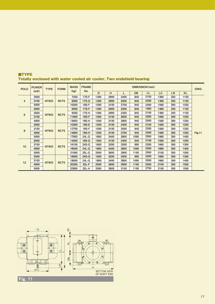| <b>POLE</b>    | <b>POWER</b><br>(kW) | <b>TYPE</b>  | <b>FORM</b>      | <b>MASS</b> | <b>FRAME</b><br>No. | DIMENSION (mm) |       |      |           |      |      |           |           | <b>DWG</b>    |
|----------------|----------------------|--------------|------------------|-------------|---------------------|----------------|-------|------|-----------|------|------|-----------|-----------|---------------|
|                |                      |              |                  | (kg)        |                     | D              | н     | L    | <b>DB</b> | LL   | LC   | <b>LR</b> | <b>KL</b> |               |
| $\overline{4}$ | 2500                 | <b>NTIKE</b> | RCT <sub>5</sub> | 7250        | <b>17S-F</b>        | 1300           | 2900  | 2400 | 845       | 2150 | 1360 | 250       | 1150      | <b>Fig.11</b> |
|                | 3150                 |              |                  | 8300        | <b>17S-G</b>        | 1300           | 2900  | 2500 | 845       | 2250 | 1360 | 250       | 1150      |               |
|                | 4000                 |              |                  | 10500       | 18S-F               | 1500           | 3100  | 2700 | 945       | 2400 | 1560 | 300       | 1250      |               |
| 6              | 2000                 | <b>NTIKE</b> | RCT <sub>5</sub> | 8300        | <b>17S-F</b>        | 1300           | 2900  | 2200 | 845       | 1950 | 1360 | 250       | 1150      |               |
|                | 2500                 |              |                  | 9350        | 17S-H               | 1300           | 2900  | 2350 | 845       | 2100 | 1360 | 250       | 1150      |               |
|                | 3150                 |              |                  | 11600       | <b>18S-F</b>        | 1500           | 3100  | 2600 | 945       | 2300 | 1560 | 300       | 1250      |               |
|                | 4000                 |              |                  | 13650       | 18S-H               | 1500           | 3100  | 2800 | 945       | 2500 | 1560 | 300       | 1250      |               |
| 8              | 2500                 |              | RCT <sub>5</sub> | 10300       | <b>18S-E</b>        | 1500           | 3100  | 2400 | 945       | 2100 | 1560 | 300       | 1250      |               |
|                | 3150                 | <b>NTIKE</b> |                  | 12700       | 18S-F               | 1500           | 3100  | 2500 | 945       | 2200 | 1560 | 300       | 1250      |               |
|                | 4000                 |              |                  | 14600       | <b>18S-H</b>        | 1500           | 3100  | 2700 | 945       | 2400 | 1560 | 300       | 1250      |               |
|                | 5000                 |              |                  | 17850       | 24L-G               | 1800           | 3400  | 2800 | 1095      | 2500 | 1860 | 300       | 1400      |               |
| 10             | 2500                 | <b>NTIKE</b> | RCT <sub>5</sub> | 14500       | <b>18S-G</b>        | 1500           | 3100  | 2400 | 945       | 2100 | 1560 | 300       | 1250      |               |
|                | 3150                 |              |                  | 16100       | 24S-G               | 1600           | 3200  | 2500 | 995       | 2200 | 1660 | 300       | 1300      |               |
|                | 4000                 |              |                  | 18500       | <b>24L-G</b>        | 1800           | 3400  | 2800 | 1095      | 2500 | 1860 | 300       | 1400      |               |
|                | 5000                 |              |                  | 21000       | 25L-G               | 2000           | 3600  | 2900 | 1195      | 2550 | 2100 | 350       | 1500      |               |
| 12             | 2500                 | <b>NTIKE</b> | RCT <sub>5</sub> | 16000       | 24S-G               | 1600           | 3200  | 2500 | 995       | 2200 | 1660 | 300       | 1300      |               |
|                | 3150                 |              |                  | 18000       | 24L-G               | 1800           | 3400  | 2800 | 1095      | 2500 | 1860 | 300       | 1400      |               |
|                | 4000                 |              |                  | 20200       | <b>25L-F</b>        | 2000           | 3600  | 2900 | 1195      | 2550 | 2100 | 350       | 1500      |               |
|                | 5000                 |              |                  |             |                     | 22900          | 25L-H | 2000 | 3600      | 3100 | 1195 | 2750      | 2100      | 350           |